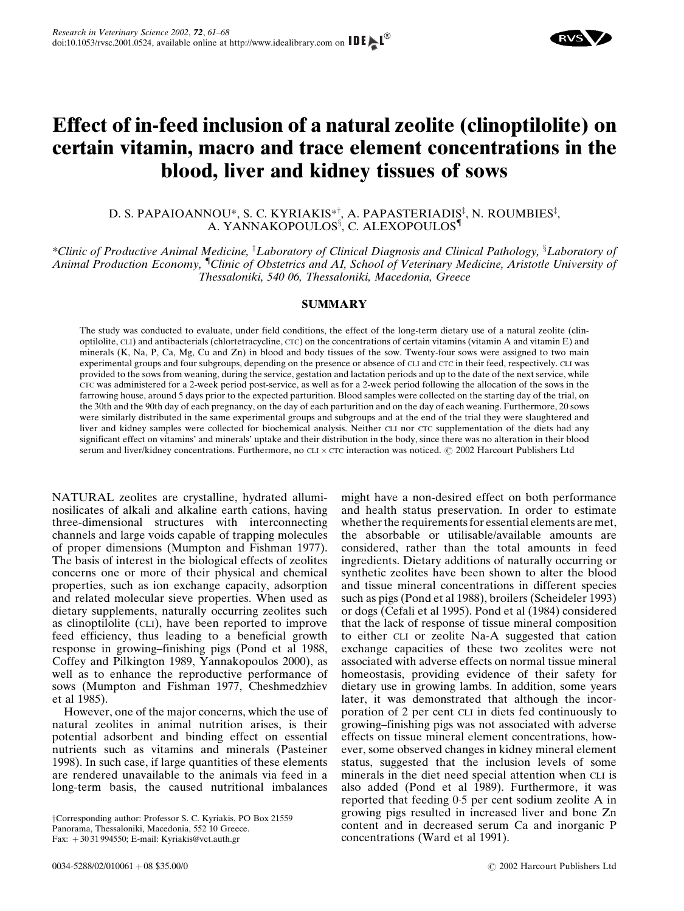# Effect of in-feed inclusion of a natural zeolite (clinoptilolite) on certain vitamin, macro and trace element concentrations in the blood, liver and kidney tissues of sows

D. S. PAPAIOANNOU\*, S. C. KYRIAKIS\*!̄, A. PAPASTERIADIS<code>½I</code>, N. ROUMBIES $^{\ddagger}$ , A. YANNAKOPOULOS<sup>§</sup>, C. ALEXOPOULOS**'** 

\*Clinic of Productive Animal Medicine, <sup>†</sup>Laboratory of Clinical Diagnosis and Clinical Pathology, <sup>§</sup>Laboratory of Animal Production Economy, "Clinic of Obstetrics and AI, School of Veterinary Medicine, Aristotle University of Thessaloniki, 540 06, Thessaloniki, Macedonia, Greece

## SUMMARY

The study was conducted to evaluate, under field conditions, the effect of the long-term dietary use of a natural zeolite (clinoptilolite, CLI) and antibacterials (chlortetracycline, CTC) on the concentrations of certain vitamins (vitamin A and vitamin E) and minerals (K, Na, P, Ca, Mg, Cu and Zn) in blood and body tissues of the sow. Twenty-four sows were assigned to two main experimental groups and four subgroups, depending on the presence or absence of CLI and CTC in their feed, respectively. CLI was provided to the sows from weaning, during the service, gestation and lactation periods and up to the date of the next service, while CTC was administered for a 2-week period post-service, as well as for a 2-week period following the allocation of the sows in the farrowing house, around 5 days prior to the expected parturition. Blood samples were collected on the starting day of the trial, on the 30th and the 90th day of each pregnancy, on the day of each parturition and on the day of each weaning. Furthermore, 20 sows were similarly distributed in the same experimental groups and subgroups and at the end of the trial they were slaughtered and liver and kidney samples were collected for biochemical analysis. Neither CLI nor CTC supplementation of the diets had any significant effect on vitamins' and minerals' uptake and their distribution in the body, since there was no alteration in their blood serum and liver/kidney concentrations. Furthermore, no  $\text{CLI} \times \text{CTC}$  interaction was noticed.  $\odot$  2002 Harcourt Publishers Ltd

NATURAL zeolites are crystalline, hydrated alluminosilicates of alkali and alkaline earth cations, having three-dimensional structures with interconnecting channels and large voids capable of trapping molecules of proper dimensions [\(Mumpton and Fishman 1977\)](#page-7-0). The basis of interest in the biological effects of zeolites concerns one or more of their physical and chemical properties, such as ion exchange capacity, adsorption and related molecular sieve properties. When used as dietary supplements, naturally occurring zeolites such as clinoptilolite (CLI), have been reported to improve feed efficiency, thus leading to a beneficial growth response in growing-finishing pigs [\(Pond et al 1988,](#page-7-0) [Coffey and Pilkington 1989,](#page-6-0) [Yannakopoulos 2000\)](#page-7-0), as well as to enhance the reproductive performance of sows [\(Mumpton and Fishman 1977,](#page-7-0) [Cheshmedzhiev](#page-6-0) [et al 1985\)](#page-6-0).

However, one of the major concerns, which the use of natural zeolites in animal nutrition arises, is their potential adsorbent and binding effect on essential nutrients such as vitamins and minerals [\(Pasteiner](#page-7-0) [1998\)](#page-7-0). In such case, if large quantities of these elements are rendered unavailable to the animals via feed in a long-term basis, the caused nutritional imbalances

might have a non-desired effect on both performance and health status preservation. In order to estimate whether the requirements for essential elements are met, the absorbable or utilisable/available amounts are considered, rather than the total amounts in feed ingredients. Dietary additions of naturally occurring or synthetic zeolites have been shown to alter the blood and tissue mineral concentrations in different species such as pigs [\(Pond et al 1988](#page-7-0)), broilers [\(Scheideler 1993](#page-7-0)) or dogs [\(Cefali et al 1995\)](#page-6-0). [Pond et al \(1984\) co](#page-7-0)nsidered that the lack of response of tissue mineral composition to either CLI or zeolite Na-A suggested that cation exchange capacities of these two zeolites were not associated with adverse effects on normal tissue mineral homeostasis, providing evidence of their safety for dietary use in growing lambs. In addition, some years later, it was demonstrated that although the incorporation of 2 per cent CLI in diets fed continuously to growing–finishing pigs was not associated with adverse effects on tissue mineral element concentrations, however, some observed changes in kidney mineral element status, suggested that the inclusion levels of some minerals in the diet need special attention when CLI is also added [\(Pond](#page-7-0) [et](#page-7-0) [al](#page-7-0) [1989](#page-7-0)). Furthermore, it was reported that feeding 05 per cent sodium zeolite A in growing pigs resulted in increased liver and bone Zn content and in decreased serum Ca and inorganic P concentrations ([Ward et al 1991](#page-7-0)).

yCorresponding author: Professor S. C. Kyriakis, PO Box 21559 Panorama, Thessaloniki, Macedonia, 552 10 Greece. Fax:  $+3031994550$ ; E-mail: Kyriakis@vet.auth.gr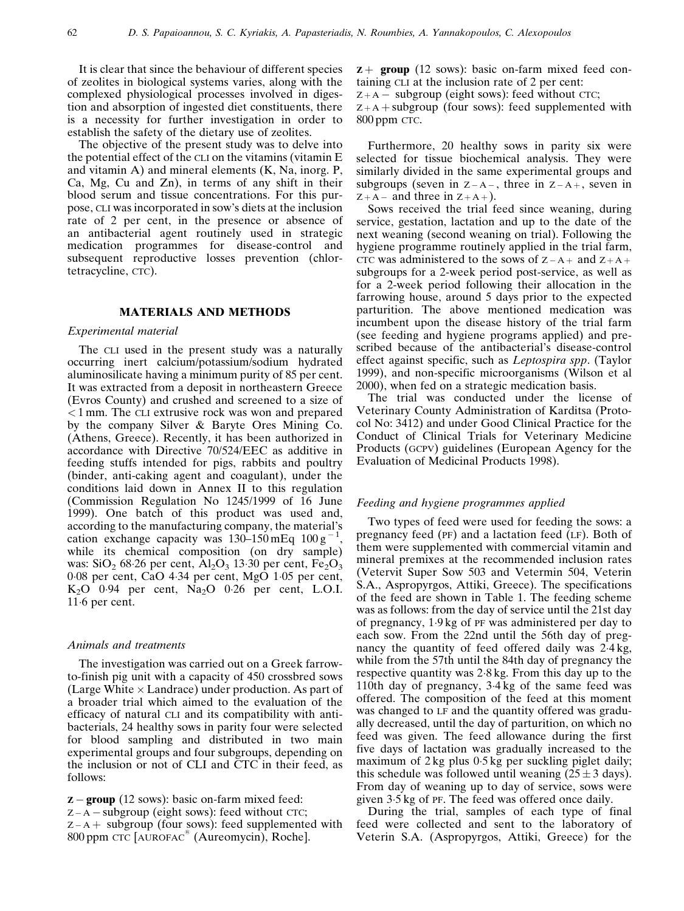It is clear that since the behaviour of different species of zeolites in biological systems varies, along with the complexed physiological processes involved in digestion and absorption of ingested diet constituents, there is a necessity for further investigation in order to establish the safety of the dietary use of zeolites.

The objective of the present study was to delve into the potential effect of the CLI on the vitamins (vitamin E and vitamin A) and mineral elements (K, Na, inorg. P, Ca, Mg, Cu and Zn), in terms of any shift in their blood serum and tissue concentrations. For this purpose, CLI was incorporated in sow's diets at the inclusion rate of 2 per cent, in the presence or absence of an antibacterial agent routinely used in strategic medication programmes for disease-control and subsequent reproductive losses prevention (chlortetracycline, CTC).

## MATERIALS AND METHODS

#### Experimental material

The CLI used in the present study was a naturally occurring inert calcium/potassium/sodium hydrated aluminosilicate having a minimum purity of 85 per cent. It was extracted from a deposit in northeastern Greece (Evros County) and crushed and screened to a size of < 1 mm. The CLI extrusive rock was won and prepared by the company Silver & Baryte Ores Mining Co. (Athens, Greece). Recently, it has been authorized in accordance with Directive 70/524/EEC as additive in feeding stuffs intended for pigs, rabbits and poultry (binder, anti-caking agent and coagulant), under the conditions laid down in Annex II to this regulation (Commission Regulation No 1245/1999 of 16 June 1999). One batch of this product was used and, according to the manufacturing company, the material's cation exchange capacity was  $130-150 \text{ mEq } 100 \text{ g}^{-1}$ , while its chemical composition (on dry sample) was:  $SiO<sub>2</sub>$  68.26 per cent,  $Al<sub>2</sub>O<sub>3</sub>$  13.30 per cent,  $Fe<sub>2</sub>O<sub>3</sub>$ 008 per cent, CaO 434 per cent, MgO 105 per cent,  $K<sub>2</sub>O$  0.94 per cent,  $Na<sub>2</sub>O$  0.26 per cent, L.O.I. 116 per cent.

## Animals and treatments

The investigation was carried out on a Greek farrowto-finish pig unit with a capacity of 450 crossbred sows (Large White  $\times$  Landrace) under production. As part of a broader trial which aimed to the evaluation of the efficacy of natural CLI and its compatibility with antibacterials, 24 healthy sows in parity four were selected for blood sampling and distributed in two main experimental groups and four subgroups, depending on the inclusion or not of CLI and CTC in their feed, as follows:

 $z -$  group (12 sows): basic on-farm mixed feed:  $Z - A - subgroup (eight rows): feed without CTC;$  $Z - A +$  subgroup (four sows): feed supplemented with 800 ppm CTC [AUROFAC<sup>1</sup> (Aureomycin), Roche].

 $z +$  group (12 sows): basic on-farm mixed feed containing CLI at the inclusion rate of 2 per cent:

 $Z + A -$  subgroup (eight sows): feed without CTC;

 $Z + A +$  subgroup (four sows): feed supplemented with 800 ppm CTC.

Furthermore, 20 healthy sows in parity six were selected for tissue biochemical analysis. They were similarly divided in the same experimental groups and subgroups (seven in  $Z - A -$ , three in  $Z - A +$ , seven in  $Z + A -$  and three in  $Z + A +$ ).

Sows received the trial feed since weaning, during service, gestation, lactation and up to the date of the next weaning (second weaning on trial). Following the hygiene programme routinely applied in the trial farm, CTC was administered to the sows of  $Z - A +$  and  $Z + A +$ subgroups for a 2-week period post-service, as well as for a 2-week period following their allocation in the farrowing house, around 5 days prior to the expected parturition. The above mentioned medication was incumbent upon the disease history of the trial farm (see feeding and hygiene programs applied) and prescribed because of the antibacterial's disease-control effect against specific, such as Leptospira spp. [\(Taylor](#page-7-0) [1999](#page-7-0)), and non-specific microorganisms [\(Wilson](#page-7-0) et al [2000\)](#page-7-0), when fed on a strategic medication basis.

The trial was conducted under the license of Veterinary County Administration of Karditsa (Protocol No: 3412) and under Good Clinical Practice for the Conduct of Clinical Trials for Veterinary Medicine Products (GCPV) guidelines (European Agency for the Evaluation of Medicinal Products 1998).

#### Feeding and hygiene programmes applied

Two types of feed were used for feeding the sows: a pregnancy feed (PF) and a lactation feed (LF). Both of them were supplemented with commercial vitamin and mineral premixes at the recommended inclusion rates (Vetervit Super Sow 503 and Vetermin 504, Veterin S.A., Aspropyrgos, Attiki, Greece). The specifications of the feed are shown in [Table](#page-2-0) 1. The feeding scheme was as follows: from the day of service until the 21st day of pregnancy, 19 kg of PF was administered per day to each sow. From the 22nd until the 56th day of pregnancy the quantity of feed offered daily was  $2.4 \text{ kg}$ , while from the 57th until the 84th day of pregnancy the respective quantity was  $2.8 \text{ kg}$ . From this day up to the 110th day of pregnancy, 34 kg of the same feed was offered. The composition of the feed at this moment was changed to LF and the quantity offered was gradually decreased, until the day of parturition, on which no feed was given. The feed allowance during the first five days of lactation was gradually increased to the maximum of  $2 \text{ kg}$  plus  $0.5 \text{ kg}$  per suckling piglet daily; this schedule was followed until weaning  $(25 \pm 3 \text{ days})$ . From day of weaning up to day of service, sows were given 35 kg of PF. The feed was offered once daily.

During the trial, samples of each type of final feed were collected and sent to the laboratory of Veterin S.A. (Aspropyrgos, Attiki, Greece) for the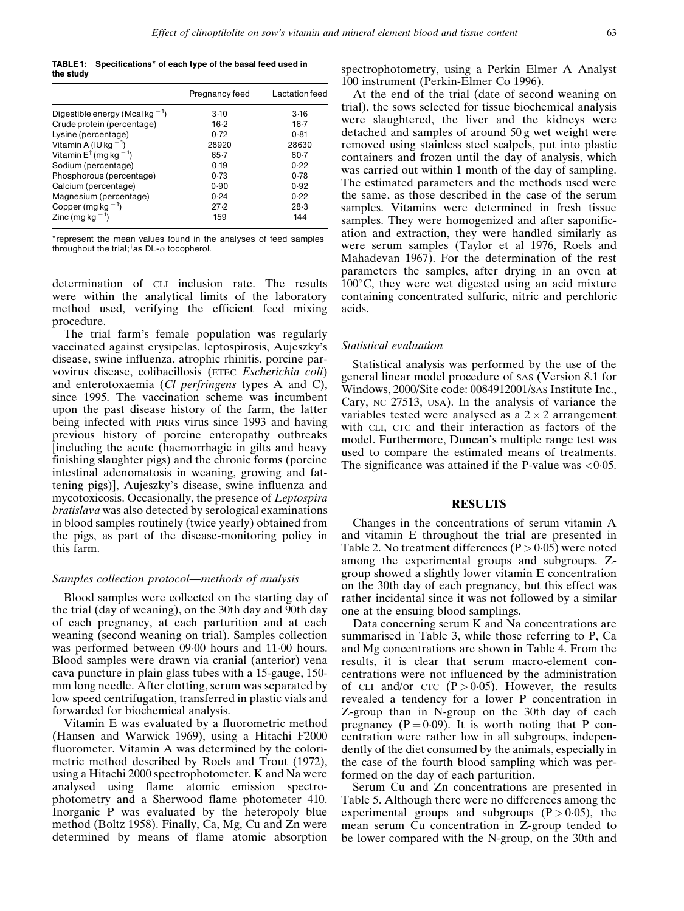<span id="page-2-0"></span>TABLE 1: Specifications\* of each type of the basal feed used in the study

|                                                              | Pregnancy feed | Lactation feed |
|--------------------------------------------------------------|----------------|----------------|
| Digestible energy (Mcal kg <sup><math>-1</math></sup> )      | 3.10           | 3.16           |
| Crude protein (percentage)                                   | $16-2$         | $16-7$         |
| Lysine (percentage)                                          | 0.72           | 0.81           |
| Vitamin A (IU kg $^{-1}$ )                                   | 28920          | 28630          |
| Vitamin $E^{\dagger}$ (mg kg $^{-1}$ )                       | $65 - 7$       | $60 - 7$       |
| Sodium (percentage)                                          | 0.19           | 0.22           |
| Phosphorous (percentage)                                     | 0.73           | 0.78           |
| Calcium (percentage)                                         | 0.90           | 0.92           |
| Magnesium (percentage)                                       | 0.24           | 0.22           |
|                                                              | 27.2           | 28.3           |
| Copper (mg kg <sup>-1</sup> )<br>Zinc (mg kg <sup>-1</sup> ) | 159            | 144            |

\*represent the mean values found in the analyses of feed samples throughout the trial; tas DL- $\alpha$  tocopherol.

determination of CLI inclusion rate. The results were within the analytical limits of the laboratory method used, verifying the efficient feed mixing procedure.

The trial farm's female population was regularly vaccinated against erysipelas, leptospirosis, Aujeszky's disease, swine influenza, atrophic rhinitis, porcine parvovirus disease, colibacillosis (ETEC Escherichia coli) and enterotoxaemia (*Cl perfringens* types A and C), since 1995. The vaccination scheme was incumbent upon the past disease history of the farm, the latter being infected with PRRS virus since 1993 and having previous history of porcine enteropathy outbreaks [including the acute (haemorrhagic in gilts and heavy finishing slaughter pigs) and the chronic forms (porcine intestinal adenomatosis in weaning, growing and fattening pigs)], Aujeszky's disease, swine influenza and mycotoxicosis. Occasionally, the presence of Leptospira bratislava was also detected by serological examinations in blood samples routinely (twice yearly) obtained from the pigs, as part of the disease-monitoring policy in this farm.

#### Samples collection protocol—methods of analysis

Blood samples were collected on the starting day of the trial (day of weaning), on the 30th day and 90th day of each pregnancy, at each parturition and at each weaning (second weaning on trial). Samples collection was performed between 09.00 hours and 11.00 hours. Blood samples were drawn via cranial (anterior) vena cava puncture in plain glass tubes with a 15-gauge, 150 mm long needle. After clotting, serum was separated by low speed centrifugation, transferred in plastic vials and forwarded for biochemical analysis.

Vitamin E was evaluated by a fluorometric method (Hansen and [Warwick](#page-6-0) 1969), using a Hitachi F2000 fluorometer. Vitamin A was determined by the colorimetric method described by Roels and Trout [\(1972\)](#page-7-0), using a Hitachi 2000 spectrophotometer. K and Na were analysed using flame atomic emission spectrophotometry and a Sherwood flame photometer 410. Inorganic P was evaluated by the heteropoly blue method [\(Boltz](#page-6-0) 1958). Finally, Ca, Mg, Cu and Zn were determined by means of flame atomic absorption spectrophotometry, using a Perkin Elmer A Analyst 100 instrument [\(Perkin-Elmer](#page-7-0) Co 1996).

At the end of the trial (date of second weaning on trial), the sows selected for tissue biochemical analysis were slaughtered, the liver and the kidneys were detached and samples of around 50 g wet weight were removed using stainless steel scalpels, put into plastic containers and frozen until the day of analysis, which was carried out within 1 month of the day of sampling. The estimated parameters and the methods used were the same, as those described in the case of the serum samples. Vitamins were determined in fresh tissue samples. They were homogenized and after saponification and extraction, they were handled similarly as were serum samples ([Taylor](#page-7-0) et al 1976, [Roels](#page-7-0) and [Mahadevan](#page-7-0) 1967). For the determination of the rest parameters the samples, after drying in an oven at  $100^{\circ}$ C, they were wet digested using an acid mixture containing concentrated sulfuric, nitric and perchloric acids.

#### Statistical evaluation

Statistical analysis was performed by the use of the general linear model procedure of SAS (Version 8.1 for Windows, 2000/Site code: 0084912001/SAS Institute Inc., Cary, NC 27513, USA). In the analysis of variance the variables tested were analysed as a  $2 \times 2$  arrangement with CLI, CTC and their interaction as factors of the model. Furthermore, Duncan's multiple range test was used to compare the estimated means of treatments. The significance was attained if the P-value was  $\langle 0.05$ .

#### RESULTS

Changes in the concentrations of serum vitamin A and vitamin E throughout the trial are presented in [Table](#page-3-0) 2. No treatment differences ( $P > 0.05$ ) were noted among the experimental groups and subgroups. Zgroup showed a slightly lower vitamin E concentration on the 30th day of each pregnancy, but this effect was rather incidental since it was not followed by a similar one at the ensuing blood samplings.

Data concerning serum K and Na concentrations are summarised in [Table](#page-3-0) 3, while those referring to P, Ca and Mg concentrations are shown in [Table](#page-4-0) 4. From the results, it is clear that serum macro-element concentrations were not influenced by the administration of CLI and/or CTC  $(P > 0.05)$ . However, the results revealed a tendency for a lower P concentration in Z-group than in N-group on the 30th day of each pregnancy ( $P = 0.09$ ). It is worth noting that P concentration were rather low in all subgroups, independently of the diet consumed by the animals, especially in the case of the fourth blood sampling which was performed on the day of each parturition.

Serum Cu and Zn concentrations are presented in [Table](#page-4-0) 5. Although there were no differences among the experimental groups and subgroups  $(P > 0.05)$ , the mean serum Cu concentration in Z-group tended to be lower compared with the N-group, on the 30th and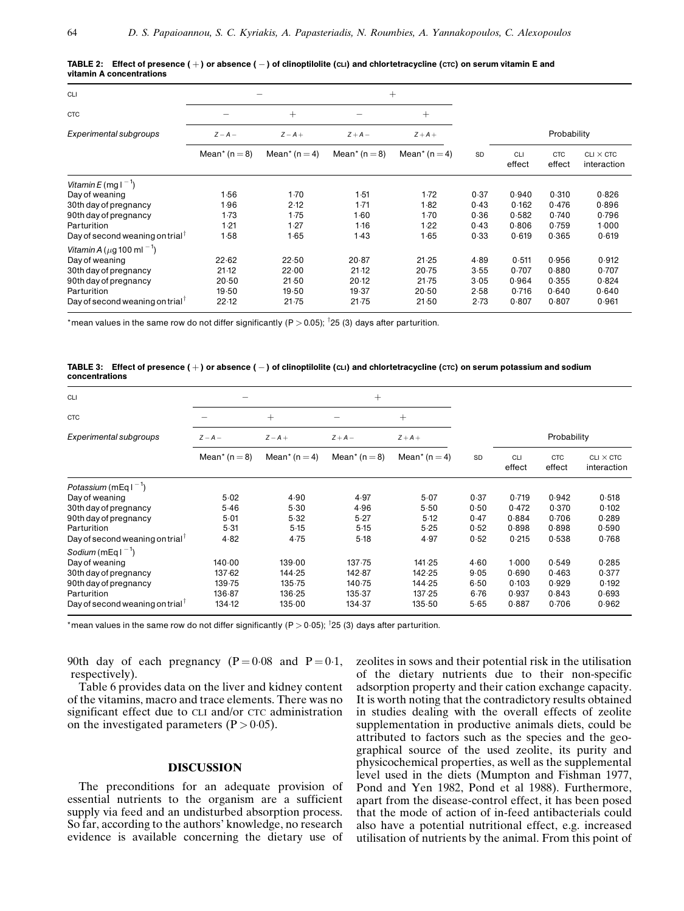| CLI                                                         |                               |                               |                           | $+$                           |           |               |                      |                                 |
|-------------------------------------------------------------|-------------------------------|-------------------------------|---------------------------|-------------------------------|-----------|---------------|----------------------|---------------------------------|
| <b>CTC</b>                                                  |                               | $+$                           |                           | $^{+}$                        |           |               |                      |                                 |
| Experimental subgroups                                      | $Z - A -$                     | $Z - A +$                     | $Z + A -$                 | $Z+A+$                        |           |               | Probability          |                                 |
|                                                             | Mean <sup>*</sup> ( $n = 8$ ) | Mean <sup>*</sup> ( $n = 4$ ) | Mean <sup>*</sup> $(n=8)$ | Mean <sup>*</sup> ( $n = 4$ ) | <b>SD</b> | CLI<br>effect | <b>CTC</b><br>effect | $CLI \times CTC$<br>interaction |
| Vitamin E (mg $1^{-1}$ )                                    |                               |                               |                           |                               |           |               |                      |                                 |
| Day of weaning                                              | 1.56                          | 1.70                          | 1.51                      | 1.72                          | 0.37      | 0.940         | 0.310                | 0.826                           |
| 30th day of pregnancy                                       | 1.96                          | 2.12                          | 1.71                      | 1.82                          | 0.43      | 0.162         | 0.476                | 0.896                           |
| 90th day of pregnancy                                       | 1.73                          | 1.75                          | 1.60                      | 1.70                          | 0.36      | 0.582         | 0.740                | 0.796                           |
| Parturition                                                 | 1.21                          | 1.27                          | 1.16                      | 1.22                          | 0.43      | 0.806         | 0.759                | 1.000                           |
| Day of second weaning on trial <sup><math>\top</math></sup> | 1.58                          | 1.65                          | 1.43                      | 1.65                          | 0.33      | 0.619         | 0.365                | 0.619                           |
| Vitamin A ( $\mu$ g 100 ml <sup>-1</sup> )                  |                               |                               |                           |                               |           |               |                      |                                 |
| Day of weaning                                              | 22.62                         | 22.50                         | 20.87                     | 21.25                         | 4.89      | 0.511         | 0.956                | 0.912                           |
| 30th day of pregnancy                                       | 21.12                         | 22.00                         | 21.12                     | 20.75                         | 3.55      | 0.707         | 0.880                | 0.707                           |
| 90th day of pregnancy                                       | 20.50                         | 21.50                         | 20.12                     | 21.75                         | 3.05      | 0.964         | 0.355                | 0.824                           |
| Parturition                                                 | 19.50                         | 19.50                         | 19.37                     | 20.50                         | 2.58      | 0.716         | 0.640                | 0.640                           |
| Day of second weaning on trial <sup><math>\top</math></sup> | 22.12                         | 21.75                         | 21.75                     | 21.50                         | 2.73      | 0.807         | 0.807                | 0.961                           |

<span id="page-3-0"></span>

|                          | TABLE 2: Effect of presence $(+)$ or absence $(-)$ of clinoptilolite (cLI) and chlortetracycline (cTC) on serum vitamin E and |  |  |
|--------------------------|-------------------------------------------------------------------------------------------------------------------------------|--|--|
| vitamin A concentrations |                                                                                                                               |  |  |

\*mean values in the same row do not differ significantly (P  $>$  0.05); <sup>7</sup>25 (3) days after parturition.

## TABLE 3: Effect of presence  $(+)$  or absence  $(-)$  of clinoptilolite (cLI) and chlortetracycline (cTC) on serum potassium and sodium concentrations

| <b>CLI</b>                                  |                               |                               | $^{+}$            |                               |           |               |                      |                                 |
|---------------------------------------------|-------------------------------|-------------------------------|-------------------|-------------------------------|-----------|---------------|----------------------|---------------------------------|
| <b>CTC</b>                                  |                               | $+$                           |                   | $^{+}$                        |           |               |                      |                                 |
| Experimental subgroups                      | $Z - A -$                     | $Z - A +$                     | $Z + A -$         | $Z+A+$                        |           |               | Probability          |                                 |
|                                             | Mean <sup>*</sup> ( $n = 8$ ) | Mean <sup>*</sup> ( $n = 4$ ) | Mean* ( $n = 8$ ) | Mean <sup>*</sup> ( $n = 4$ ) | <b>SD</b> | CLI<br>effect | <b>CTC</b><br>effect | $CLI \times CTC$<br>interaction |
| Potassium (mEq $1^{-1}$ )                   |                               |                               |                   |                               |           |               |                      |                                 |
| Day of weaning                              | 5.02                          | 4.90                          | 4.97              | 5.07                          | 0.37      | 0.719         | 0.942                | 0.518                           |
| 30th day of pregnancy                       | 5.46                          | 5.30                          | 4.96              | 5.50                          | 0.50      | 0.472         | 0.370                | 0.102                           |
| 90th day of pregnancy                       | $5 - 01$                      | 5.32                          | 5.27              | 5.12                          | 0.47      | 0.884         | 0.706                | 0.289                           |
| Parturition                                 | 5.31                          | 5.15                          | 5.15              | 5.25                          | 0.52      | 0.898         | 0.898                | 0.590                           |
| Day of second weaning on trial              | 4.82                          | 4.75                          | 5.18              | 4.97                          | 0.52      | 0.215         | 0.538                | 0.768                           |
| Sodium (mEq $1^{-1}$ )                      |                               |                               |                   |                               |           |               |                      |                                 |
| Day of weaning                              | 140.00                        | 139.00                        | 137.75            | 141.25                        | 4.60      | 1.000         | 0.549                | 0.285                           |
| 30th day of pregnancy                       | 137.62                        | 144.25                        | 142.87            | 142.25                        | 9.05      | 0.690         | 0.463                | 0.377                           |
| 90th day of pregnancy                       | 139.75                        | 135.75                        | 140.75            | 144.25                        | 6.50      | 0.103         | 0.929                | 0.192                           |
| Parturition                                 | 136.87                        | 136.25                        | 135.37            | 137.25                        | 6.76      | 0.937         | 0.843                | 0.693                           |
| Day of second weaning on trial <sup>†</sup> | 134.12                        | 135.00                        | 134.37            | 135.50                        | 5.65      | 0.887         | 0.706                | 0.962                           |

\*mean values in the same row do not differ significantly (P  $>$  0 $\cdot$ 05); <sup>†</sup>25 (3) days after parturition.

90th day of each pregnancy  $(P = 0.08$  and  $P = 0.1$ , respectively).

[Table](#page-5-0) 6 provides data on the liver and kidney content of the vitamins, macro and trace elements. There was no significant effect due to CLI and/or CTC administration on the investigated parameters  $(P > 0.05)$ .

## DISCUSSION

The preconditions for an adequate provision of essential nutrients to the organism are a sufficient supply via feed and an undisturbed absorption process. So far, according to the authors' knowledge, no research evidence is available concerning the dietary use of zeolites in sows and their potential risk in the utilisation of the dietary nutrients due to their non-specific adsorption property and their cation exchange capacity. It is worth noting that the contradictory results obtained in studies dealing with the overall effects of zeolite supplementation in productive animals diets, could be attributed to factors such as the species and the geographical source of the used zeolite, its purity and physicochemical properties, as well as the supplemental level used in the diets [\(Mumpton](#page-7-0) and Fishman 1977, [Pond](#page-7-0) and Yen 1982, [Pond](#page-7-0) et al 1988). Furthermore, apart from the disease-control effect, it has been posed that the mode of action of in-feed antibacterials could also have a potential nutritional effect, e.g. increased utilisation of nutrients by the animal. From this point of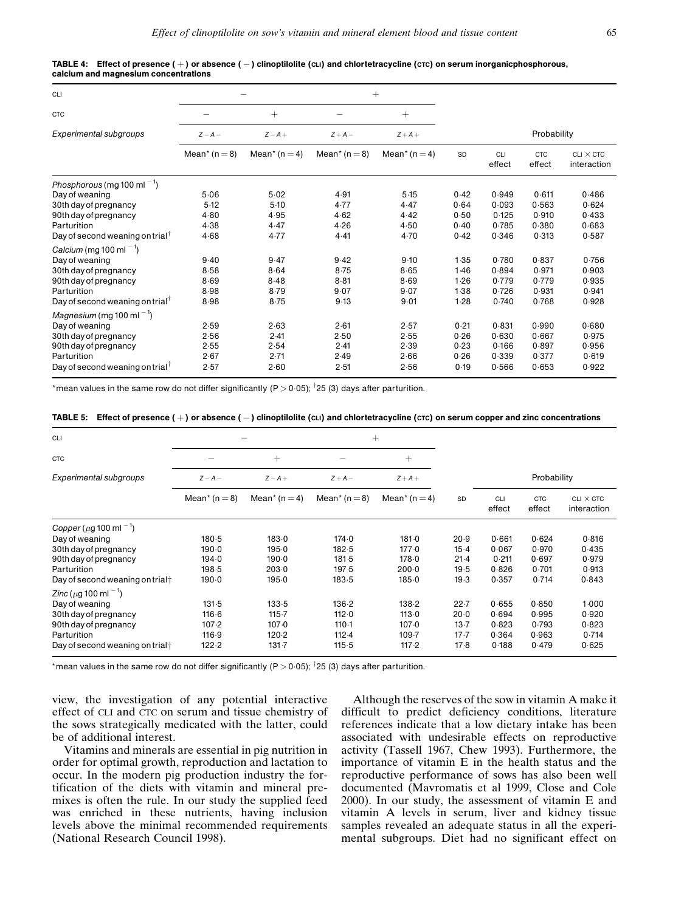| CLI                                                         |                               |                               | $^{+}$                        |                               |      |                      |                      |                                 |
|-------------------------------------------------------------|-------------------------------|-------------------------------|-------------------------------|-------------------------------|------|----------------------|----------------------|---------------------------------|
| <b>CTC</b>                                                  |                               | $+$                           |                               | $^{+}$                        |      |                      |                      |                                 |
| <b>Experimental subgroups</b>                               | $Z - A -$                     | $Z - A +$                     | $Z+A-$                        | $Z+A+$                        |      |                      | Probability          |                                 |
|                                                             | Mean <sup>*</sup> ( $n = 8$ ) | Mean <sup>*</sup> ( $n = 4$ ) | Mean <sup>*</sup> ( $n = 8$ ) | Mean <sup>*</sup> ( $n = 4$ ) | SD   | <b>CLI</b><br>effect | <b>CTC</b><br>effect | $CLI \times CTC$<br>interaction |
| Phosphorous (mg 100 ml $^{-1}$ )                            |                               |                               |                               |                               |      |                      |                      |                                 |
| Day of weaning                                              | 5.06                          | 5.02                          | 4.91                          | 5.15                          | 0.42 | 0.949                | 0.611                | 0.486                           |
| 30th day of pregnancy                                       | 5.12                          | 5.10                          | 4.77                          | 4.47                          | 0.64 | 0.093                | 0.563                | 0.624                           |
| 90th day of pregnancy                                       | 4.80                          | 4.95                          | 4.62                          | 4.42                          | 0.50 | 0.125                | 0.910                | 0.433                           |
| Parturition                                                 | 4.38                          | 4.47                          | 4.26                          | 4.50                          | 0.40 | 0.785                | 0.380                | 0.683                           |
| Day of second weaning on trial <sup><math>\top</math></sup> | 4.68                          | 4.77                          | 4.41                          | 4.70                          | 0.42 | 0.346                | 0.313                | 0.587                           |
| Calcium (mg 100 ml $^{-1}$ )                                |                               |                               |                               |                               |      |                      |                      |                                 |
| Day of weaning                                              | 9.40                          | 9.47                          | 9.42                          | 9.10                          | 1.35 | 0.780                | 0.837                | 0.756                           |
| 30th day of pregnancy                                       | 8.58                          | 8.64                          | 8.75                          | 8.65                          | 1.46 | 0.894                | 0.971                | 0.903                           |
| 90th day of pregnancy                                       | 8.69                          | 8.48                          | $8 - 81$                      | 8.69                          | 1.26 | 0.779                | 0.779                | 0.935                           |
| Parturition                                                 | 8.98                          | 8.79                          | 9.07                          | 9.07                          | 1.38 | 0.726                | 0.931                | 0.941                           |
| Day of second weaning on trial <sup>1</sup>                 | 8.98                          | 8.75                          | 9.13                          | 9.01                          | 1.28 | 0.740                | 0.768                | 0.928                           |
| Magnesium (mg 100 ml $^{-1}$ )                              |                               |                               |                               |                               |      |                      |                      |                                 |
| Day of weaning                                              | 2.59                          | 2.63                          | 2.61                          | 2.57                          | 0.21 | 0.831                | 0.990                | 0.680                           |
| 30th day of pregnancy                                       | 2.56                          | 2.41                          | 2.50                          | 2.55                          | 0.26 | 0.630                | 0.667                | 0.975                           |
| 90th day of pregnancy                                       | 2.55                          | 2.54                          | 2.41                          | 2.39                          | 0.23 | 0.166                | 0.897                | 0.956                           |
| Parturition                                                 | 2.67                          | 2.71                          | 2.49                          | 2.66                          | 0.26 | 0.339                | 0.377                | 0.619                           |
| Day of second weaning on trial <sup><math>\top</math></sup> | 2.57                          | 2.60                          | 2.51                          | 2.56                          | 0.19 | 0.566                | 0.653                | 0.922                           |

<span id="page-4-0"></span>

| TABLE 4: Effect of presence (+) or absence (-) clinoptilolite (cLI) and chlortetracycline (crc) on serum inorganicphosphorous, |  |
|--------------------------------------------------------------------------------------------------------------------------------|--|
| calcium and magnesium concentrations                                                                                           |  |

\*mean values in the same row do not differ significantly (P  $>$  0 $\cdot$ 05); <sup>†</sup>25 (3) days after parturition.

|  |  |  |  |  |  | TABLE 5: Effect of presence $(+)$ or absence $(-)$ clinoptilolite $(c\text{Li})$ and chlortetracycline (ctc) on serum copper and zinc concentrations |
|--|--|--|--|--|--|------------------------------------------------------------------------------------------------------------------------------------------------------|
|--|--|--|--|--|--|------------------------------------------------------------------------------------------------------------------------------------------------------|

| <b>CLI</b>                                   |                           |                               | $^{+}$            |                               |           |               |                      |                                 |
|----------------------------------------------|---------------------------|-------------------------------|-------------------|-------------------------------|-----------|---------------|----------------------|---------------------------------|
| <b>CTC</b>                                   |                           | $^{+}$                        |                   | $+$                           |           |               |                      |                                 |
| Experimental subgroups                       | $Z - A -$                 | $Z - A +$                     | $Z+A-$            | $Z+A+$                        |           |               | Probability          |                                 |
|                                              | Mean <sup>*</sup> $(n=8)$ | Mean <sup>*</sup> ( $n = 4$ ) | Mean* ( $n = 8$ ) | Mean <sup>*</sup> ( $n = 4$ ) | <b>SD</b> | CLI<br>effect | <b>CTC</b><br>effect | $CLI \times CTC$<br>interaction |
| Copper ( $\mu$ g 100 ml <sup>-1</sup> )      |                           |                               |                   |                               |           |               |                      |                                 |
| Day of weaning                               | 180.5                     | 183.0                         | 174.0             | 181.0                         | 20.9      | 0.661         | 0.624                | 0.816                           |
| 30th day of pregnancy                        | 190.0                     | 195.0                         | 182.5             | 177.0                         | $15-4$    | 0.067         | 0.970                | 0.435                           |
| 90th day of pregnancy                        | 194.0                     | 190.0                         | 181.5             | 178.0                         | $21-4$    | 0.211         | 0.697                | 0.979                           |
| Parturition                                  | 198.5                     | 203.0                         | 197.5             | $200-0$                       | 19.5      | 0.826         | 0.701                | 0.913                           |
| Day of second weaning on trial $\dagger$     | 190.0                     | 195.0                         | 183.5             | 185.0                         | 19.3      | 0.357         | 0.714                | 0.843                           |
| <i>Zinc</i> ( $\mu$ g 100 ml <sup>-1</sup> ) |                           |                               |                   |                               |           |               |                      |                                 |
| Day of weaning                               | 131.5                     | 133.5                         | 136.2             | 138.2                         | 22.7      | 0.655         | 0.850                | 1.000                           |
| 30th day of pregnancy                        | 116.6                     | 115.7                         | 112.0             | 113.0                         | 20.0      | 0.694         | 0.995                | 0.920                           |
| 90th day of pregnancy                        | 107.2                     | 107.0                         | 110.1             | 107.0                         | $13 - 7$  | 0.823         | 0.793                | 0.823                           |
| Parturition                                  | 116.9                     | 120.2                         | $112 - 4$         | 109.7                         | $17 - 7$  | 0.364         | 0.963                | 0.714                           |
| Day of second weaning on trial $\dagger$     | 122.2                     | $131 - 7$                     | 115.5             | 117.2                         | 17.8      | 0.188         | 0.479                | 0.625                           |

\*mean values in the same row do not differ significantly (P  $>$  0 $\cdot$ 05); <sup>†</sup>25 (3) days after parturition.

view, the investigation of any potential interactive effect of CLI and CTC on serum and tissue chemistry of the sows strategically medicated with the latter, could be of additional interest.

Vitamins and minerals are essential in pig nutrition in order for optimal growth, reproduction and lactation to occur. In the modern pig production industry the fortification of the diets with vitamin and mineral premixes is often the rule. In our study the supplied feed was enriched in these nutrients, having inclusion levels above the minimal recommended requirements (National [Research](#page-7-0) Council 1998).

Although the reserves of the sow in vitamin A make it difficult to predict deficiency conditions, literature references indicate that a low dietary intake has been associated with undesirable effects on reproductive activity [\(Tassell](#page-7-0) 1967, [Chew](#page-6-0) 1993). Furthermore, the importance of vitamin E in the health status and the reproductive performance of sows has also been well documented [\(Mavromatis](#page-6-0) et al 1999, [Close](#page-6-0) and Cole [2000](#page-6-0)). In our study, the assessment of vitamin E and vitamin A levels in serum, liver and kidney tissue samples revealed an adequate status in all the experimental subgroups. Diet had no significant effect on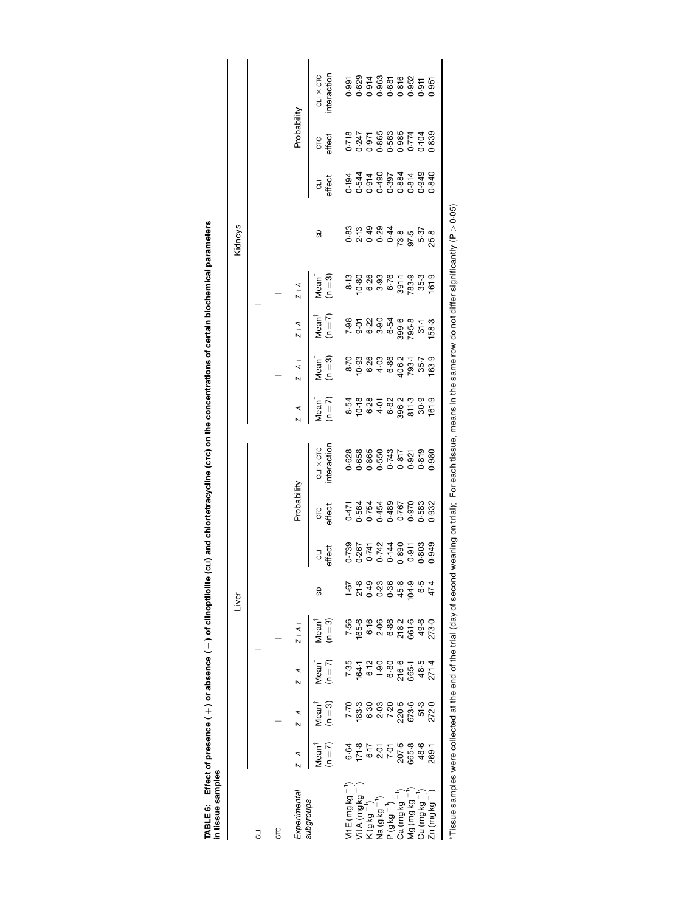TABLE 6: Effect of presence ( + ) or absence ( − ) of clinoptilolite (c⊔) and chlortetracycline (crc) on the concentrations of certain biochemical parameters<br>in tissue samples <sup>i</sup> TABLE 6: Effect of presence (  $+$  ) or absence (  $-$  ) of clinoptilolite (c⊥r) and chlortetracycline (c $\pi$ ) on the concentrations of certain biochemical parameters in tissue samples

<span id="page-5-0"></span>

|         |             |            | Probability   | teraction<br><b>CLIX CTC</b>                                                                          |                                                                                                                                                                                                                                                                                                               | $\begin{array}{r} 1.991 \\ 1.620 \\ 0.914 \\ 0.963 \\ 0.965 \\ 0.974 \\ 0.951 \\ 0.951 \\ 0.951 \\ 0.951 \\ 0.951 \\ 0.951 \\ 0.951 \\ 0.951 \\ 0.951 \\ 0.951 \\ 0.951 \\ 0.951 \\ 0.951 \\ 0.951 \\ 0.951 \\ 0.951 \\ 0.952 \\ 0.953 \\ 0.954 \\ 0.954 \\ 0.955 \\ 0.955 \\ 0.956 \\ 0.956 \\ 0.$ |        |                                                             |                     |             |               |            |          |                                              |  |
|---------|-------------|------------|---------------|-------------------------------------------------------------------------------------------------------|---------------------------------------------------------------------------------------------------------------------------------------------------------------------------------------------------------------------------------------------------------------------------------------------------------------|-----------------------------------------------------------------------------------------------------------------------------------------------------------------------------------------------------------------------------------------------------------------------------------------------------|--------|-------------------------------------------------------------|---------------------|-------------|---------------|------------|----------|----------------------------------------------|--|
|         |             |            |               |                                                                                                       |                                                                                                                                                                                                                                                                                                               | cre<br>sffect                                                                                                                                                                                                                                                                                       |        | 0.718<br>0.247<br>0.971 0.988<br>0.989 0.989<br>0.989 0.998 |                     |             |               |            |          |                                              |  |
|         |             |            |               | a<br>sffect                                                                                           |                                                                                                                                                                                                                                                                                                               | $-194$<br>$-194$<br>$-194$<br>$-194$<br>$-194$<br>$-194$<br>$-194$<br>$-194$<br>$-194$<br>$-194$<br>$-194$<br>$-194$<br>$-194$<br>$-194$<br>$-194$<br>$-194$                                                                                                                                        |        |                                                             |                     |             |               |            |          |                                              |  |
| Kidneys |             |            |               | SD                                                                                                    |                                                                                                                                                                                                                                                                                                               | ० ० ० ० ० ५ ९ ७ ६ ११<br>७ ५ ५ ७ ५ ० ७ ७ ७ ७<br>७ ५ ५ ० ५ ० ७ ५                                                                                                                                                                                                                                      |        |                                                             |                     |             |               |            |          |                                              |  |
|         |             |            | $+4 + 7 + 7$  | Mean <sup>ī</sup><br>(n = 3)                                                                          |                                                                                                                                                                                                                                                                                                               |                                                                                                                                                                                                                                                                                                     |        |                                                             |                     |             |               |            |          |                                              |  |
|         | $^{+}$      |            | $Z + A -$     | $M$ ean $\dagger$<br>(n $=$ 7)                                                                        |                                                                                                                                                                                                                                                                                                               | 8<br>8 5 8 9 9 9 9 9 9 1<br>8 9 9 9 9 9 9 1<br>8 9 9 9 9 9 1                                                                                                                                                                                                                                        |        |                                                             |                     |             |               |            |          |                                              |  |
|         | I           |            | $Z - A +$     | Mean $\frac{1}{n}$<br>(n $=$ 3)                                                                       |                                                                                                                                                                                                                                                                                                               |                                                                                                                                                                                                                                                                                                     |        |                                                             |                     |             |               |            |          |                                              |  |
|         |             |            | $\frac{1}{4}$ | $Mean^{\dagger}$<br>(n = 7)                                                                           |                                                                                                                                                                                                                                                                                                               |                                                                                                                                                                                                                                                                                                     |        |                                                             |                     |             |               |            |          |                                              |  |
|         | Probability |            |               | nteraction<br>$CLI \times CTC$                                                                        |                                                                                                                                                                                                                                                                                                               |                                                                                                                                                                                                                                                                                                     |        |                                                             |                     |             |               |            |          |                                              |  |
|         |             |            |               | crc<br>affect                                                                                         |                                                                                                                                                                                                                                                                                                               | $\begin{array}{l} 0.77 \\ 0.7564 \\ 0.75440 \\ 0.75400 \\ 0.00000 \\ 0.00000 \\ 0.00000 \\ 0.00000 \\ 0.00000 \\ 0.00000 \\ 0.00000 \\ 0.00000 \\ 0.00000 \\ 0.00000 \\ 0.00000 \\ 0.00000 \\ 0.00000 \\ 0.00000 \\ 0.00000 \\ 0.00000 \\ 0.00000 \\ 0.00000 \\ 0.00000 \\ 0.00000 \\ $             |        |                                                             |                     |             |               |            |          | $\begin{array}{c}\n1 \\ 1 \\ 1\n\end{array}$ |  |
|         |             |            |               | a<br>sffect                                                                                           |                                                                                                                                                                                                                                                                                                               | 0.739<br>0.26742<br>0.742 1430<br>0.369 1630<br>0.389 1630                                                                                                                                                                                                                                          |        |                                                             |                     |             |               |            |          |                                              |  |
| Liver   |             |            |               | 9                                                                                                     |                                                                                                                                                                                                                                                                                                               |                                                                                                                                                                                                                                                                                                     |        |                                                             |                     |             |               |            |          |                                              |  |
|         |             |            |               | $(n=3)$<br>Mean <sup>®</sup>                                                                          |                                                                                                                                                                                                                                                                                                               |                                                                                                                                                                                                                                                                                                     |        |                                                             |                     |             |               |            |          |                                              |  |
|         |             |            |               |                                                                                                       |                                                                                                                                                                                                                                                                                                               | $7.35$<br>$7.47$<br>$6.39$<br>$6.80$<br>$6.57$<br>$6.49$<br>$6.80$<br>$6.49$<br>$6.49$<br>$6.49$<br>$7.49$                                                                                                                                                                                          |        |                                                             |                     |             |               |            |          |                                              |  |
|         |             |            |               | $Z-A Z-A+$ $Z+A-$<br>Mean <sup>†</sup> Mean <sup>†</sup> Mean <sup>†</sup><br>$(n=7)$ $(n=3)$ $(n=7)$ | $\begin{array}{l} 7.70 \\ 7.33 \\ 7.33 \\ 8.33 \\ 9.35 \\ 1.83 \\ 1.83 \\ 1.83 \\ 1.83 \\ 1.83 \\ 1.83 \\ 1.83 \\ 1.83 \\ 1.83 \\ 1.83 \\ 1.83 \\ 1.83 \\ 1.83 \\ 1.83 \\ 1.83 \\ 1.83 \\ 1.83 \\ 1.83 \\ 1.83 \\ 1.83 \\ 1.83 \\ 1.83 \\ 1.83 \\ 1.83 \\ 1.83 \\ 1.83 \\ 1.83 \\ 1.83 \\ 1.83 \\ 1.83 \\ 1.$ |                                                                                                                                                                                                                                                                                                     |        |                                                             |                     |             |               |            |          |                                              |  |
|         |             |            |               |                                                                                                       |                                                                                                                                                                                                                                                                                                               | $6.64$<br>$6.75$<br>$6.75$<br>$6.75$<br>$6.75$<br>$6.86$<br>$6.86$<br>$6.75$<br>$6.86$<br>$6.75$<br>$6.86$<br>$6.75$<br>$6.86$<br>$6.75$                                                                                                                                                            |        |                                                             |                     |             |               |            |          |                                              |  |
|         | J           | <b>CTC</b> | xperimenta    | sdno.lbgr                                                                                             |                                                                                                                                                                                                                                                                                                               |                                                                                                                                                                                                                                                                                                     | ioy bi | la (g kg                                                    | - 6y6) <sub>c</sub> | Ca (mg kg ⊤ | loy 6 uu ) 6v | ay buy) n; | n (mg kg |                                              |  |

 $^*$ Tissue samples were collected at the end of the trial (day of second weaning on trial); iFor each tissue, means in the same row do not differ significantly (P  $>$  0.05).  $^\star$ Tissue samples were collected at the end of the trial (day of second weaning on trial);  $^\dagger$ For each tissue, means in the same row do not differ significantly (P > 0.05)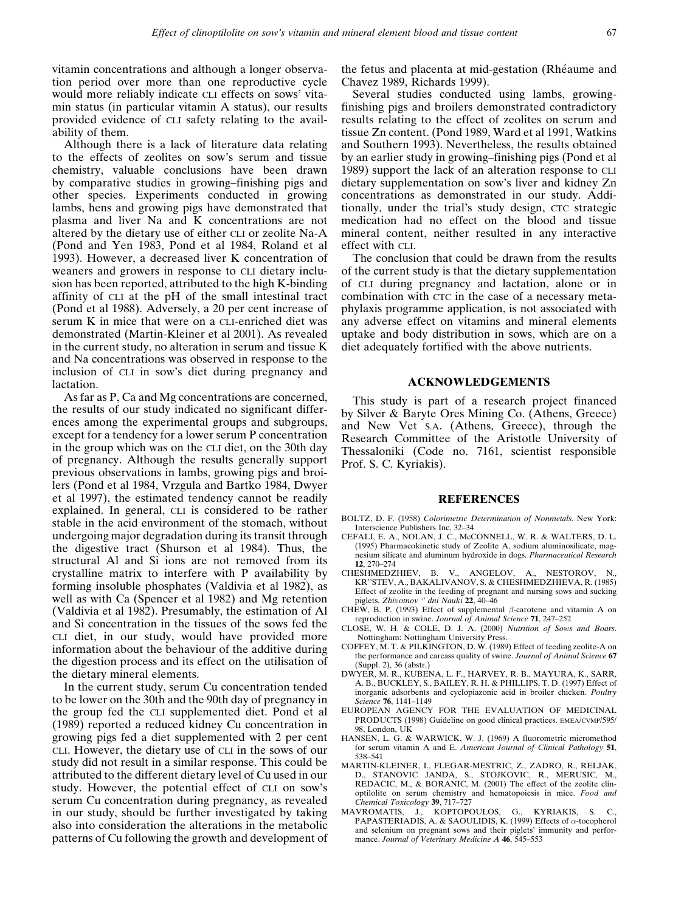<span id="page-6-0"></span>vitamin concentrations and although a longer observation period over more than one reproductive cycle would more reliably indicate CLI effects on sows' vitamin status (in particular vitamin A status), our results provided evidence of CLI safety relating to the availability of them.

Although there is a lack of literature data relating to the effects of zeolites on sow's serum and tissue chemistry, valuable conclusions have been drawn by comparative studies in growing-finishing pigs and other species. Experiments conducted in growing lambs, hens and growing pigs have demonstrated that plasma and liver Na and K concentrations are not altered by the dietary use of either CLI or zeolite Na-A (Pond and Yen 1983, Pond et al 1984, Roland et al 1993). However, a decreased liver K concentration of weaners and growers in response to CLI dietary inclusion has been reported, attributed to the high K-binding affinity of CLI at the pH of the small intestinal tract [\(Pond](#page-7-0) et al 1988). Adversely, a 20 per cent increase of serum K in mice that were on a CLI-enriched diet was demonstrated (Martin-Kleiner et al 2001). As revealed in the current study, no alteration in serum and tissue K and Na concentrations was observed in response to the inclusion of CLI in sow's diet during pregnancy and lactation.

As far as P, Ca and Mg concentrations are concerned, the results of our study indicated no significant differences among the experimental groups and subgroups, except for a tendency for a lower serum P concentration in the group which was on the CLI diet, on the 30th day of pregnancy. Although the results generally support previous observations in lambs, growing pigs and broilers [\(Pond](#page-7-0) et al 1984, [Vrzgula](#page-7-0) and Bartko 1984, Dwyer et al 1997), the estimated tendency cannot be readily explained. In general, CLI is considered to be rather stable in the acid environment of the stomach, without undergoing major degradation during its transit through the digestive tract ([Shurson](#page-7-0) et al 1984). Thus, the structural Al and Si ions are not removed from its crystalline matrix to interfere with P availability by forming insoluble phosphates [\(Valdivia](#page-7-0) et al 1982), as well as with Ca ([Spencer](#page-7-0) et al 1982) and Mg retention [\(Valdivia](#page-7-0) et al 1982). Presumably, the estimation of Al and Si concentration in the tissues of the sows fed the CLI diet, in our study, would have provided more information about the behaviour of the additive during the digestion process and its effect on the utilisation of the dietary mineral elements.

In the current study, serum Cu concentration tended to be lower on the 30th and the 90th day of pregnancy in the group fed the CLI supplemented diet. [Pond](#page-7-0) et al [\(1989\)](#page-7-0) reported a reduced kidney Cu concentration in growing pigs fed a diet supplemented with 2 per cent CLI. However, the dietary use of CLI in the sows of our study did not result in a similar response. This could be attributed to the different dietary level of Cu used in our study. However, the potential effect of CLI on sow's serum Cu concentration during pregnancy, as revealed in our study, should be further investigated by taking also into consideration the alterations in the metabolic patterns of Cu following the growth and development of the fetus and placenta at mid-gestation (Rhéaume and [Chavez](#page-7-0) 1989, [Richards](#page-7-0) 1999).

Several studies conducted using lambs, growingfinishing pigs and broilers demonstrated contradictory results relating to the effect of zeolites on serum and tissue Zn content. [\(Pond](#page-7-0) 1989, [Ward](#page-7-0) et al 1991, [Watkins](#page-7-0) and [Southern](#page-7-0) 1993). Nevertheless, the results obtained by an earlier study in growing-finishing pigs ([Pond](#page-7-0) et al [1989](#page-7-0)) support the lack of an alteration response to CLI dietary supplementation on sow's liver and kidney Zn concentrations as demonstrated in our study. Additionally, under the trial's study design, CTC strategic medication had no effect on the blood and tissue mineral content, neither resulted in any interactive effect with CLI.

The conclusion that could be drawn from the results of the current study is that the dietary supplementation of CLI during pregnancy and lactation, alone or in combination with CTC in the case of a necessary metaphylaxis programme application, is not associated with any adverse effect on vitamins and mineral elements uptake and body distribution in sows, which are on a diet adequately fortified with the above nutrients.

#### ACKNOWLEDGEMENTS

This study is part of a research project financed by Silver & Baryte Ores Mining Co. (Athens, Greece) and New Vet S.A. (Athens, Greece), through the Research Committee of the Aristotle University of Thessaloniki (Code no. 7161, scientist responsible Prof. S. C. Kyriakis).

## **REFERENCES**

- BOLTZ, D. F. (1958) Colorimetric Determination of Nonmetals. New York: Interscience Publishers Inc, 32-34
- CEFALI, E. A., NOLAN, J. C., McCONNELL, W. R. & WALTERS, D. L. (1995) Pharmacokinetic study of Zeolite A, sodium aluminosilicate, magnesium silicate and aluminum hydroxide in dogs. Pharmaceutical Research 12, 270±274
- CHESHMEDZHIEV, B. V., ANGELOV, A., NESTOROV, N., KR''STEV, A., BAKALIVANOV, S. & CHESHMEDZHIEVA, R. (1985) Effect of zeolite in the feeding of pregnant and nursing sows and sucking piglets. Zhivotnov <sup>o</sup> dni Nauki 22, 40-46
- CHEW, B. P. (1993) Effect of supplemental  $\beta$ -carotene and vitamin A on reproduction in swine. Journal of Animal Science 71, 247-252
- CLOSE, W. H. & COLE, D. J. A. (2000) Nutrition of Sows and Boars. Nottingham: Nottingham University Press.
- COFFEY, M. T. & PILKINGTON, D. W. (1989) Effect of feeding zeolite-A on the performance and carcass quality of swine. Journal of Animal Science 67 (Suppl. 2), 36 (abstr.)
- DWYER, M. R., KUBENA, L. F., HARVEY, R. B., MAYURA, K., SARR, A. B., BUCKLEY, S., BAILEY, R. H. & PHILLIPS, T. D. (1997) Effect of inorganic adsorbents and cyclopiazonic acid in broiler chicken. Poultry Science 76, 1141-1149
- EUROPEAN AGENCY FOR THE EVALUATION OF MEDICINAL PRODUCTS (1998) Guideline on good clinical practices. EMEA/CVMP/595/ 98, London, UK
- HANSEN, L. G. & WARWICK, W. J. (1969) A fluorometric micromethod for serum vitamin A and E. American Journal of Clinical Pathology 51, 538±541
- MARTIN-KLEINER, I., FLEGAR-MESTRIC, Z., ZADRO, R., RELJAK, D., STANOVIC JANDA, S., STOJKOVIC, R., MERUSIC, M., REDACIC, M., & BORANIC, M. (2001) The effect of the zeolite clinoptilolite on serum chemistry and hematopoiesis in mice. Food and Chemical Toxicology 39, 717-727
- MAVROMATIS, J., KOPTOPOULOS, G., KYRIAKIS, S. C., PAPASTERIADIS, A. & SAOULIDIS, K. (1999) Effects of  $\alpha$ -tocopherol and selenium on pregnant sows and their piglets' immunity and performance. Journal of Veterinary Medicine A  $46, 545-553$